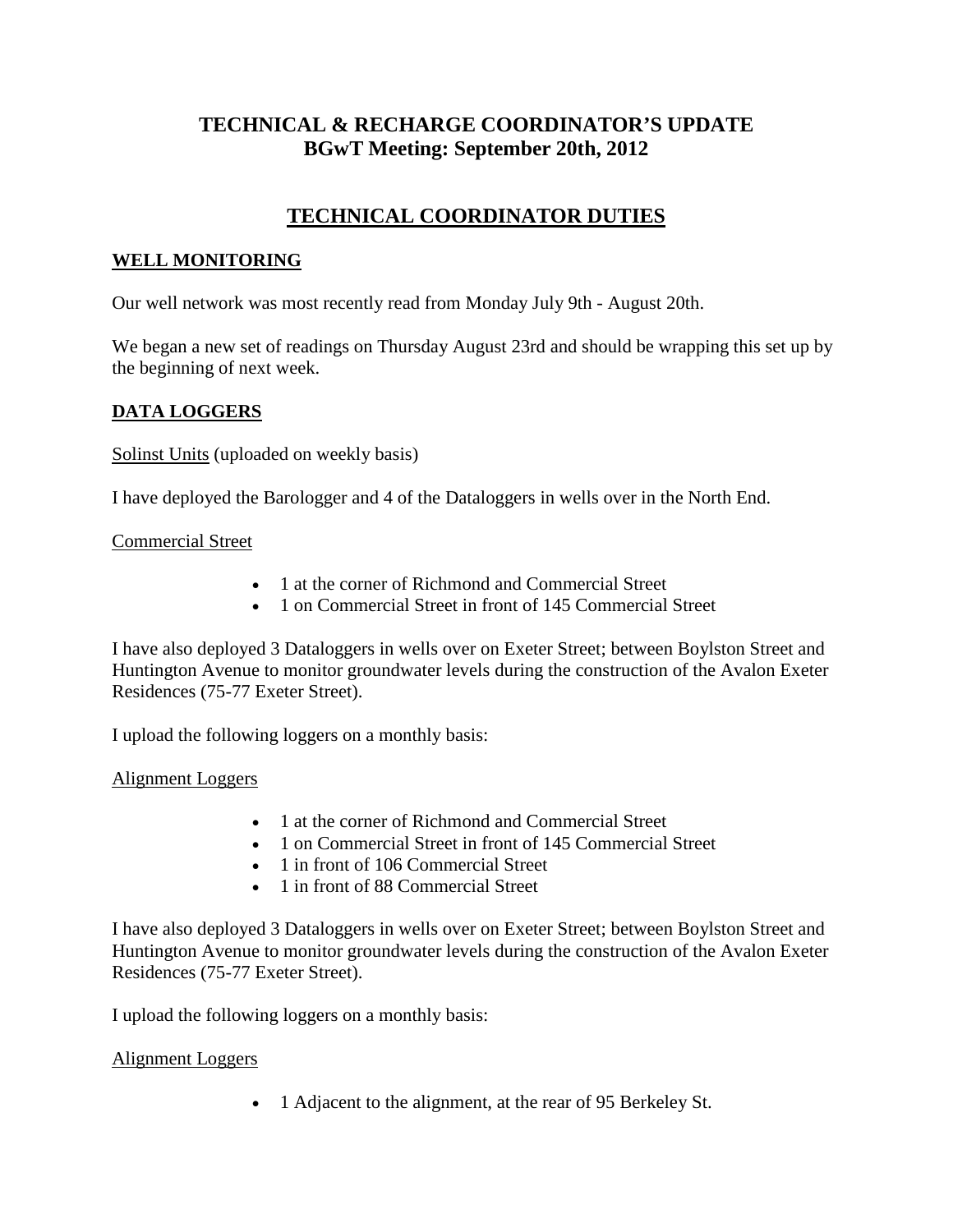## **TECHNICAL & RECHARGE COORDINATOR'S UPDATE BGwT Meeting: September 20th, 2012**

# **TECHNICAL COORDINATOR DUTIES**

### **WELL MONITORING**

Our well network was most recently read from Monday July 9th - August 20th.

We began a new set of readings on Thursday August 23rd and should be wrapping this set up by the beginning of next week.

### **DATA LOGGERS**

Solinst Units (uploaded on weekly basis)

I have deployed the Barologger and 4 of the Dataloggers in wells over in the North End.

#### Commercial Street

- 1 at the corner of Richmond and Commercial Street
- 1 on Commercial Street in front of 145 Commercial Street

I have also deployed 3 Dataloggers in wells over on Exeter Street; between Boylston Street and Huntington Avenue to monitor groundwater levels during the construction of the Avalon Exeter Residences (75-77 Exeter Street).

I upload the following loggers on a monthly basis:

#### Alignment Loggers

- 1 at the corner of Richmond and Commercial Street
- 1 on Commercial Street in front of 145 Commercial Street
- 1 in front of 106 Commercial Street
- 1 in front of 88 Commercial Street

I have also deployed 3 Dataloggers in wells over on Exeter Street; between Boylston Street and Huntington Avenue to monitor groundwater levels during the construction of the Avalon Exeter Residences (75-77 Exeter Street).

I upload the following loggers on a monthly basis:

#### Alignment Loggers

• 1 Adjacent to the alignment, at the rear of 95 Berkeley St.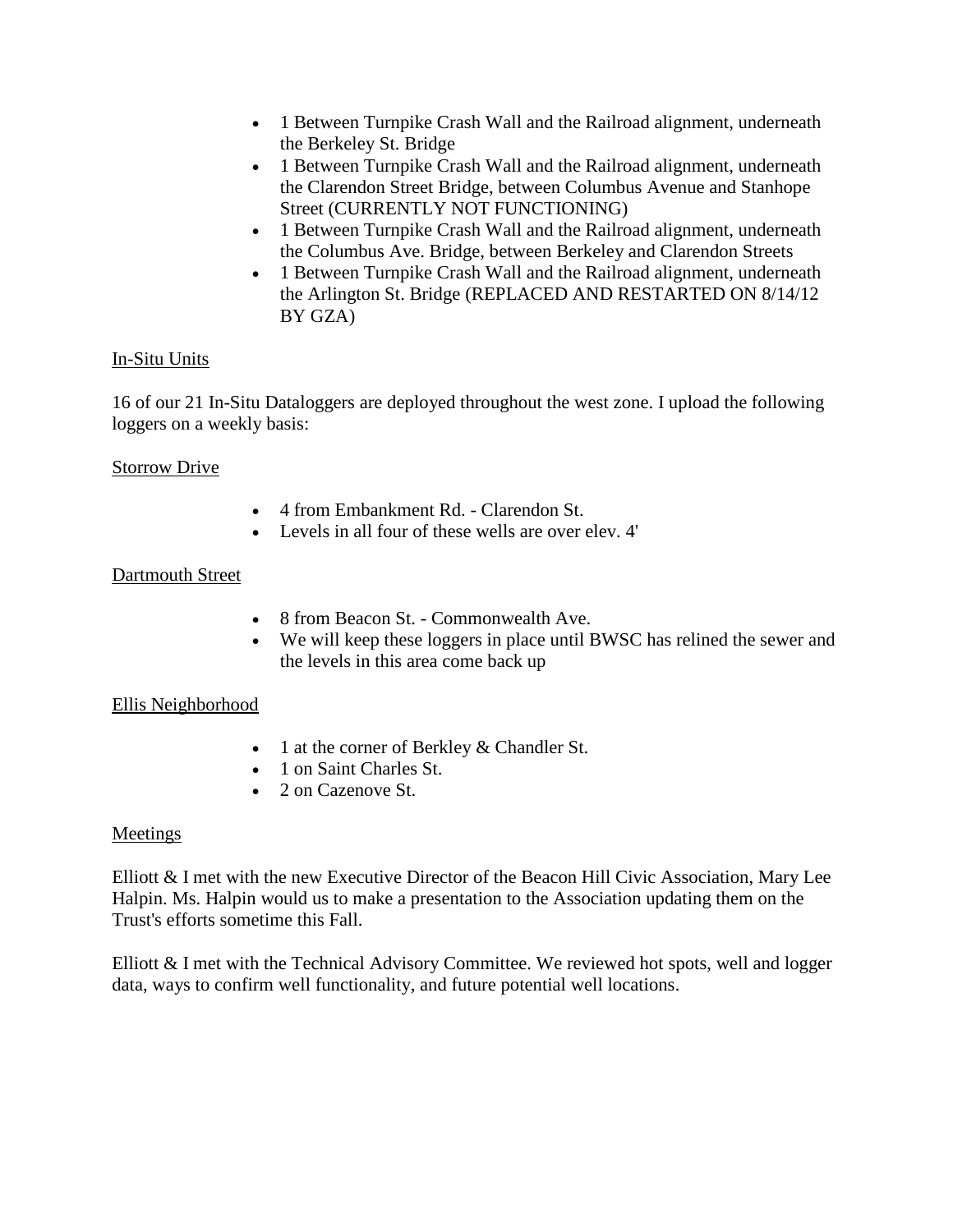- 1 Between Turnpike Crash Wall and the Railroad alignment, underneath the Berkeley St. Bridge
- 1 Between Turnpike Crash Wall and the Railroad alignment, underneath the Clarendon Street Bridge, between Columbus Avenue and Stanhope Street (CURRENTLY NOT FUNCTIONING)
- 1 Between Turnpike Crash Wall and the Railroad alignment, underneath the Columbus Ave. Bridge, between Berkeley and Clarendon Streets
- 1 Between Turnpike Crash Wall and the Railroad alignment, underneath the Arlington St. Bridge (REPLACED AND RESTARTED ON 8/14/12 BY GZA)

### In-Situ Units

16 of our 21 In-Situ Dataloggers are deployed throughout the west zone. I upload the following loggers on a weekly basis:

### Storrow Drive

- 4 from Embankment Rd. Clarendon St.
- Levels in all four of these wells are over elev. 4'

## Dartmouth Street

- 8 from Beacon St. Commonwealth Ave.
- We will keep these loggers in place until BWSC has relined the sewer and the levels in this area come back up

### Ellis Neighborhood

- 1 at the corner of Berkley & Chandler St.
- 1 on Saint Charles St.
- 2 on Cazenove St.

### Meetings

Elliott  $\&$  I met with the new Executive Director of the Beacon Hill Civic Association, Mary Lee Halpin. Ms. Halpin would us to make a presentation to the Association updating them on the Trust's efforts sometime this Fall.

Elliott & I met with the Technical Advisory Committee. We reviewed hot spots, well and logger data, ways to confirm well functionality, and future potential well locations.